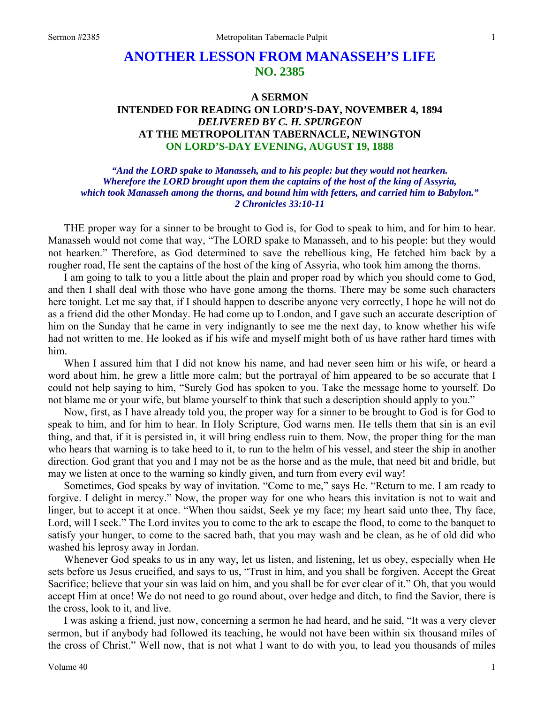# **ANOTHER LESSON FROM MANASSEH'S LIFE NO. 2385**

# **A SERMON INTENDED FOR READING ON LORD'S-DAY, NOVEMBER 4, 1894**  *DELIVERED BY C. H. SPURGEON*  **AT THE METROPOLITAN TABERNACLE, NEWINGTON ON LORD'S-DAY EVENING, AUGUST 19, 1888**

*"And the LORD spake to Manasseh, and to his people: but they would not hearken. Wherefore the LORD brought upon them the captains of the host of the king of Assyria, which took Manasseh among the thorns, and bound him with fetters, and carried him to Babylon." 2 Chronicles 33:10-11* 

THE proper way for a sinner to be brought to God is, for God to speak to him, and for him to hear. Manasseh would not come that way, "The LORD spake to Manasseh, and to his people: but they would not hearken." Therefore, as God determined to save the rebellious king, He fetched him back by a rougher road, He sent the captains of the host of the king of Assyria, who took him among the thorns.

I am going to talk to you a little about the plain and proper road by which you should come to God, and then I shall deal with those who have gone among the thorns. There may be some such characters here tonight. Let me say that, if I should happen to describe anyone very correctly, I hope he will not do as a friend did the other Monday. He had come up to London, and I gave such an accurate description of him on the Sunday that he came in very indignantly to see me the next day, to know whether his wife had not written to me. He looked as if his wife and myself might both of us have rather hard times with him.

When I assured him that I did not know his name, and had never seen him or his wife, or heard a word about him, he grew a little more calm; but the portrayal of him appeared to be so accurate that I could not help saying to him, "Surely God has spoken to you. Take the message home to yourself. Do not blame me or your wife, but blame yourself to think that such a description should apply to you."

Now, first, as I have already told you, the proper way for a sinner to be brought to God is for God to speak to him, and for him to hear. In Holy Scripture, God warns men. He tells them that sin is an evil thing, and that, if it is persisted in, it will bring endless ruin to them. Now, the proper thing for the man who hears that warning is to take heed to it, to run to the helm of his vessel, and steer the ship in another direction. God grant that you and I may not be as the horse and as the mule, that need bit and bridle, but may we listen at once to the warning so kindly given, and turn from every evil way!

Sometimes, God speaks by way of invitation. "Come to me," says He. "Return to me. I am ready to forgive. I delight in mercy." Now, the proper way for one who hears this invitation is not to wait and linger, but to accept it at once. "When thou saidst, Seek ye my face; my heart said unto thee, Thy face, Lord, will I seek." The Lord invites you to come to the ark to escape the flood, to come to the banquet to satisfy your hunger, to come to the sacred bath, that you may wash and be clean, as he of old did who washed his leprosy away in Jordan.

Whenever God speaks to us in any way, let us listen, and listening, let us obey, especially when He sets before us Jesus crucified, and says to us, "Trust in him, and you shall be forgiven. Accept the Great Sacrifice; believe that your sin was laid on him, and you shall be for ever clear of it." Oh, that you would accept Him at once! We do not need to go round about, over hedge and ditch, to find the Savior, there is the cross, look to it, and live.

I was asking a friend, just now, concerning a sermon he had heard, and he said, "It was a very clever sermon, but if anybody had followed its teaching, he would not have been within six thousand miles of the cross of Christ." Well now, that is not what I want to do with you, to lead you thousands of miles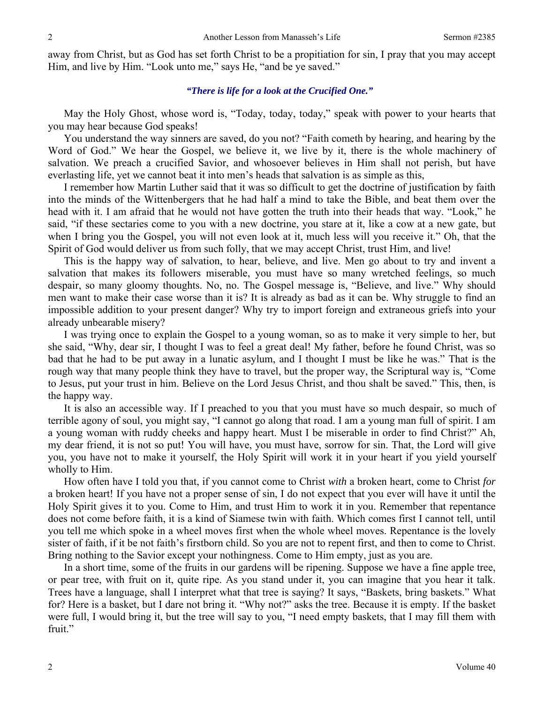away from Christ, but as God has set forth Christ to be a propitiation for sin, I pray that you may accept Him, and live by Him. "Look unto me," says He, "and be ye saved."

### *"There is life for a look at the Crucified One."*

May the Holy Ghost, whose word is, "Today, today, today," speak with power to your hearts that you may hear because God speaks!

You understand the way sinners are saved, do you not? "Faith cometh by hearing, and hearing by the Word of God." We hear the Gospel, we believe it, we live by it, there is the whole machinery of salvation. We preach a crucified Savior, and whosoever believes in Him shall not perish, but have everlasting life, yet we cannot beat it into men's heads that salvation is as simple as this,

I remember how Martin Luther said that it was so difficult to get the doctrine of justification by faith into the minds of the Wittenbergers that he had half a mind to take the Bible, and beat them over the head with it. I am afraid that he would not have gotten the truth into their heads that way. "Look," he said, "if these sectaries come to you with a new doctrine, you stare at it, like a cow at a new gate, but when I bring you the Gospel, you will not even look at it, much less will you receive it." Oh, that the Spirit of God would deliver us from such folly, that we may accept Christ, trust Him, and live!

This is the happy way of salvation, to hear, believe, and live. Men go about to try and invent a salvation that makes its followers miserable, you must have so many wretched feelings, so much despair, so many gloomy thoughts. No, no. The Gospel message is, "Believe, and live." Why should men want to make their case worse than it is? It is already as bad as it can be. Why struggle to find an impossible addition to your present danger? Why try to import foreign and extraneous griefs into your already unbearable misery?

I was trying once to explain the Gospel to a young woman, so as to make it very simple to her, but she said, "Why, dear sir, I thought I was to feel a great deal! My father, before he found Christ, was so bad that he had to be put away in a lunatic asylum, and I thought I must be like he was." That is the rough way that many people think they have to travel, but the proper way, the Scriptural way is, "Come to Jesus, put your trust in him. Believe on the Lord Jesus Christ, and thou shalt be saved." This, then, is the happy way.

It is also an accessible way. If I preached to you that you must have so much despair, so much of terrible agony of soul, you might say, "I cannot go along that road. I am a young man full of spirit. I am a young woman with ruddy cheeks and happy heart. Must I be miserable in order to find Christ?" Ah, my dear friend, it is not so put! You will have, you must have, sorrow for sin. That, the Lord will give you, you have not to make it yourself, the Holy Spirit will work it in your heart if you yield yourself wholly to Him.

How often have I told you that, if you cannot come to Christ *with* a broken heart, come to Christ *for* a broken heart! If you have not a proper sense of sin, I do not expect that you ever will have it until the Holy Spirit gives it to you. Come to Him, and trust Him to work it in you. Remember that repentance does not come before faith, it is a kind of Siamese twin with faith. Which comes first I cannot tell, until you tell me which spoke in a wheel moves first when the whole wheel moves. Repentance is the lovely sister of faith, if it be not faith's firstborn child. So you are not to repent first, and then to come to Christ. Bring nothing to the Savior except your nothingness. Come to Him empty, just as you are.

In a short time, some of the fruits in our gardens will be ripening. Suppose we have a fine apple tree, or pear tree, with fruit on it, quite ripe. As you stand under it, you can imagine that you hear it talk. Trees have a language, shall I interpret what that tree is saying? It says, "Baskets, bring baskets." What for? Here is a basket, but I dare not bring it. "Why not?" asks the tree. Because it is empty. If the basket were full, I would bring it, but the tree will say to you, "I need empty baskets, that I may fill them with fruit."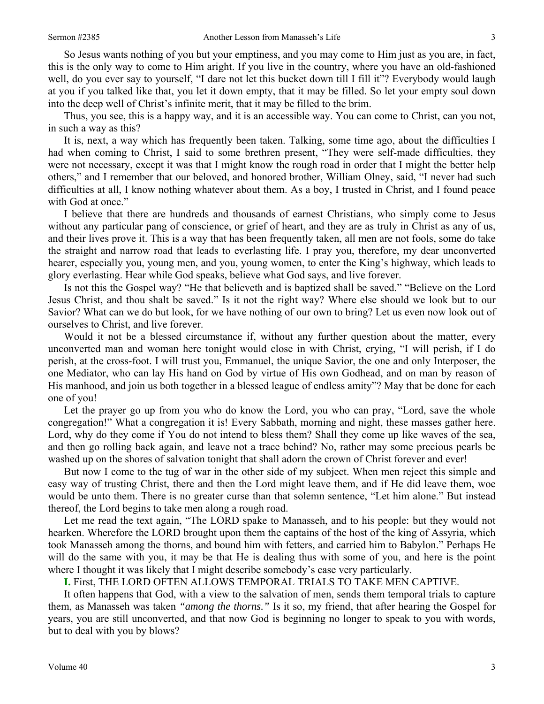So Jesus wants nothing of you but your emptiness, and you may come to Him just as you are, in fact, this is the only way to come to Him aright. If you live in the country, where you have an old-fashioned well, do you ever say to yourself, "I dare not let this bucket down till I fill it"? Everybody would laugh at you if you talked like that, you let it down empty, that it may be filled. So let your empty soul down into the deep well of Christ's infinite merit, that it may be filled to the brim.

Thus, you see, this is a happy way, and it is an accessible way. You can come to Christ, can you not, in such a way as this?

It is, next, a way which has frequently been taken. Talking, some time ago, about the difficulties I had when coming to Christ, I said to some brethren present, "They were self-made difficulties, they were not necessary, except it was that I might know the rough road in order that I might the better help others," and I remember that our beloved, and honored brother, William Olney, said, "I never had such difficulties at all, I know nothing whatever about them. As a boy, I trusted in Christ, and I found peace with God at once."

I believe that there are hundreds and thousands of earnest Christians, who simply come to Jesus without any particular pang of conscience, or grief of heart, and they are as truly in Christ as any of us, and their lives prove it. This is a way that has been frequently taken, all men are not fools, some do take the straight and narrow road that leads to everlasting life. I pray you, therefore, my dear unconverted hearer, especially you, young men, and you, young women, to enter the King's highway, which leads to glory everlasting. Hear while God speaks, believe what God says, and live forever.

Is not this the Gospel way? "He that believeth and is baptized shall be saved." "Believe on the Lord Jesus Christ, and thou shalt be saved." Is it not the right way? Where else should we look but to our Savior? What can we do but look, for we have nothing of our own to bring? Let us even now look out of ourselves to Christ, and live forever.

Would it not be a blessed circumstance if, without any further question about the matter, every unconverted man and woman here tonight would close in with Christ, crying, "I will perish, if I do perish, at the cross-foot. I will trust you, Emmanuel, the unique Savior, the one and only Interposer, the one Mediator, who can lay His hand on God by virtue of His own Godhead, and on man by reason of His manhood, and join us both together in a blessed league of endless amity"? May that be done for each one of you!

Let the prayer go up from you who do know the Lord, you who can pray, "Lord, save the whole congregation!" What a congregation it is! Every Sabbath, morning and night, these masses gather here. Lord, why do they come if You do not intend to bless them? Shall they come up like waves of the sea, and then go rolling back again, and leave not a trace behind? No, rather may some precious pearls be washed up on the shores of salvation tonight that shall adorn the crown of Christ forever and ever!

But now I come to the tug of war in the other side of my subject. When men reject this simple and easy way of trusting Christ, there and then the Lord might leave them, and if He did leave them, woe would be unto them. There is no greater curse than that solemn sentence, "Let him alone." But instead thereof, the Lord begins to take men along a rough road.

Let me read the text again, "The LORD spake to Manasseh, and to his people: but they would not hearken. Wherefore the LORD brought upon them the captains of the host of the king of Assyria, which took Manasseh among the thorns, and bound him with fetters, and carried him to Babylon." Perhaps He will do the same with you, it may be that He is dealing thus with some of you, and here is the point where I thought it was likely that I might describe somebody's case very particularly.

**I.** First, THE LORD OFTEN ALLOWS TEMPORAL TRIALS TO TAKE MEN CAPTIVE.

It often happens that God, with a view to the salvation of men, sends them temporal trials to capture them, as Manasseh was taken *"among the thorns."* Is it so, my friend, that after hearing the Gospel for years, you are still unconverted, and that now God is beginning no longer to speak to you with words, but to deal with you by blows?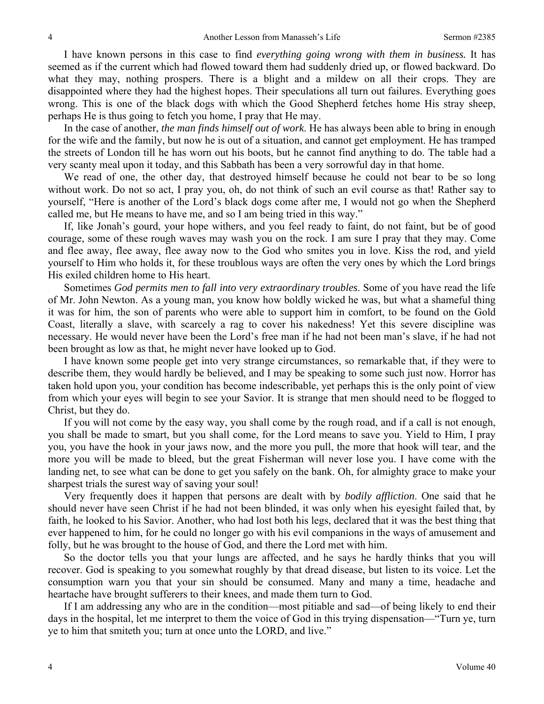I have known persons in this case to find *everything going wrong with them in business.* It has seemed as if the current which had flowed toward them had suddenly dried up, or flowed backward. Do what they may, nothing prospers. There is a blight and a mildew on all their crops. They are disappointed where they had the highest hopes. Their speculations all turn out failures. Everything goes wrong. This is one of the black dogs with which the Good Shepherd fetches home His stray sheep, perhaps He is thus going to fetch you home, I pray that He may.

In the case of another, *the man finds himself out of work*. He has always been able to bring in enough for the wife and the family, but now he is out of a situation, and cannot get employment. He has tramped the streets of London till he has worn out his boots, but he cannot find anything to do. The table had a very scanty meal upon it today, and this Sabbath has been a very sorrowful day in that home.

We read of one, the other day, that destroyed himself because he could not bear to be so long without work. Do not so act, I pray you, oh, do not think of such an evil course as that! Rather say to yourself, "Here is another of the Lord's black dogs come after me, I would not go when the Shepherd called me, but He means to have me, and so I am being tried in this way."

If, like Jonah's gourd, your hope withers, and you feel ready to faint, do not faint, but be of good courage, some of these rough waves may wash you on the rock. I am sure I pray that they may. Come and flee away, flee away, flee away now to the God who smites you in love. Kiss the rod, and yield yourself to Him who holds it, for these troublous ways are often the very ones by which the Lord brings His exiled children home to His heart.

Sometimes *God permits men to fall into very extraordinary troubles*. Some of you have read the life of Mr. John Newton. As a young man, you know how boldly wicked he was, but what a shameful thing it was for him, the son of parents who were able to support him in comfort, to be found on the Gold Coast, literally a slave, with scarcely a rag to cover his nakedness! Yet this severe discipline was necessary. He would never have been the Lord's free man if he had not been man's slave, if he had not been brought as low as that, he might never have looked up to God.

I have known some people get into very strange circumstances, so remarkable that, if they were to describe them, they would hardly be believed, and I may be speaking to some such just now. Horror has taken hold upon you, your condition has become indescribable, yet perhaps this is the only point of view from which your eyes will begin to see your Savior. It is strange that men should need to be flogged to Christ, but they do.

If you will not come by the easy way, you shall come by the rough road, and if a call is not enough, you shall be made to smart, but you shall come, for the Lord means to save you. Yield to Him, I pray you, you have the hook in your jaws now, and the more you pull, the more that hook will tear, and the more you will be made to bleed, but the great Fisherman will never lose you. I have come with the landing net, to see what can be done to get you safely on the bank. Oh, for almighty grace to make your sharpest trials the surest way of saving your soul!

Very frequently does it happen that persons are dealt with by *bodily affliction*. One said that he should never have seen Christ if he had not been blinded, it was only when his eyesight failed that, by faith, he looked to his Savior. Another, who had lost both his legs, declared that it was the best thing that ever happened to him, for he could no longer go with his evil companions in the ways of amusement and folly, but he was brought to the house of God, and there the Lord met with him.

So the doctor tells you that your lungs are affected, and he says he hardly thinks that you will recover. God is speaking to you somewhat roughly by that dread disease, but listen to its voice. Let the consumption warn you that your sin should be consumed. Many and many a time, headache and heartache have brought sufferers to their knees, and made them turn to God.

If I am addressing any who are in the condition—most pitiable and sad—of being likely to end their days in the hospital, let me interpret to them the voice of God in this trying dispensation—"Turn ye, turn ye to him that smiteth you; turn at once unto the LORD, and live."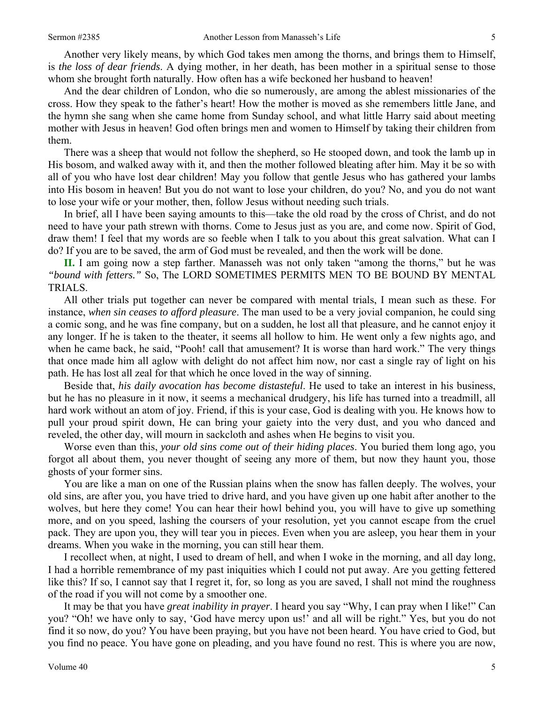Another very likely means, by which God takes men among the thorns, and brings them to Himself, is *the loss of dear friends*. A dying mother, in her death, has been mother in a spiritual sense to those whom she brought forth naturally. How often has a wife beckoned her husband to heaven!

And the dear children of London, who die so numerously, are among the ablest missionaries of the cross. How they speak to the father's heart! How the mother is moved as she remembers little Jane, and the hymn she sang when she came home from Sunday school, and what little Harry said about meeting mother with Jesus in heaven! God often brings men and women to Himself by taking their children from them.

There was a sheep that would not follow the shepherd, so He stooped down, and took the lamb up in His bosom, and walked away with it, and then the mother followed bleating after him. May it be so with all of you who have lost dear children! May you follow that gentle Jesus who has gathered your lambs into His bosom in heaven! But you do not want to lose your children, do you? No, and you do not want to lose your wife or your mother, then, follow Jesus without needing such trials.

In brief, all I have been saying amounts to this—take the old road by the cross of Christ, and do not need to have your path strewn with thorns. Come to Jesus just as you are, and come now. Spirit of God, draw them! I feel that my words are so feeble when I talk to you about this great salvation. What can I do? If you are to be saved, the arm of God must be revealed, and then the work will be done.

**II.** I am going now a step farther. Manasseh was not only taken "among the thorns," but he was *"bound with fetters."* So, The LORD SOMETIMES PERMITS MEN TO BE BOUND BY MENTAL TRIALS.

All other trials put together can never be compared with mental trials, I mean such as these. For instance, *when sin ceases to afford pleasure*. The man used to be a very jovial companion, he could sing a comic song, and he was fine company, but on a sudden, he lost all that pleasure, and he cannot enjoy it any longer. If he is taken to the theater, it seems all hollow to him. He went only a few nights ago, and when he came back, he said, "Pooh! call that amusement? It is worse than hard work." The very things that once made him all aglow with delight do not affect him now, nor cast a single ray of light on his path. He has lost all zeal for that which he once loved in the way of sinning.

Beside that, *his daily avocation has become distasteful*. He used to take an interest in his business, but he has no pleasure in it now, it seems a mechanical drudgery, his life has turned into a treadmill, all hard work without an atom of joy. Friend, if this is your case, God is dealing with you. He knows how to pull your proud spirit down, He can bring your gaiety into the very dust, and you who danced and reveled, the other day, will mourn in sackcloth and ashes when He begins to visit you.

Worse even than this, *your old sins come out of their hiding places*. You buried them long ago, you forgot all about them, you never thought of seeing any more of them, but now they haunt you, those ghosts of your former sins.

You are like a man on one of the Russian plains when the snow has fallen deeply. The wolves, your old sins, are after you, you have tried to drive hard, and you have given up one habit after another to the wolves, but here they come! You can hear their howl behind you, you will have to give up something more, and on you speed, lashing the coursers of your resolution, yet you cannot escape from the cruel pack. They are upon you, they will tear you in pieces. Even when you are asleep, you hear them in your dreams. When you wake in the morning, you can still hear them.

I recollect when, at night, I used to dream of hell, and when I woke in the morning, and all day long, I had a horrible remembrance of my past iniquities which I could not put away. Are you getting fettered like this? If so, I cannot say that I regret it, for, so long as you are saved, I shall not mind the roughness of the road if you will not come by a smoother one.

It may be that you have *great inability in prayer*. I heard you say "Why, I can pray when I like!" Can you? "Oh! we have only to say, 'God have mercy upon us!' and all will be right." Yes, but you do not find it so now, do you? You have been praying, but you have not been heard. You have cried to God, but you find no peace. You have gone on pleading, and you have found no rest. This is where you are now,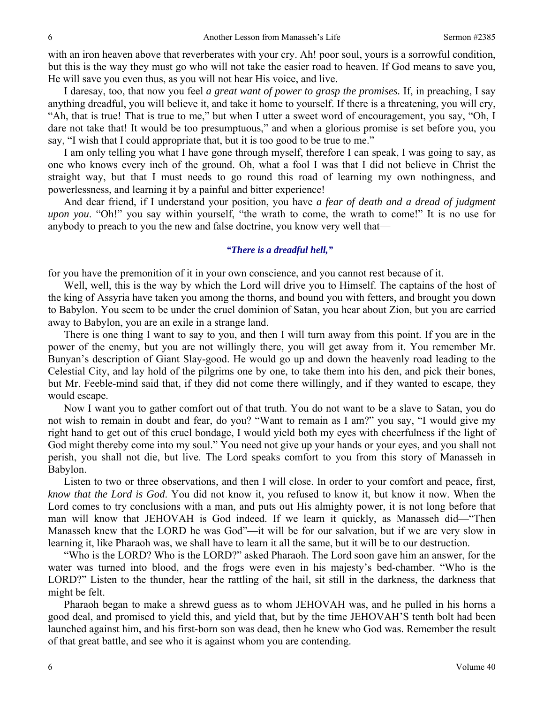with an iron heaven above that reverberates with your cry. Ah! poor soul, yours is a sorrowful condition, but this is the way they must go who will not take the easier road to heaven. If God means to save you, He will save you even thus, as you will not hear His voice, and live.

I daresay, too, that now you feel *a great want of power to grasp the promises.* If, in preaching, I say anything dreadful, you will believe it, and take it home to yourself. If there is a threatening, you will cry, "Ah, that is true! That is true to me," but when I utter a sweet word of encouragement, you say, "Oh, I dare not take that! It would be too presumptuous," and when a glorious promise is set before you, you say, "I wish that I could appropriate that, but it is too good to be true to me."

I am only telling you what I have gone through myself, therefore I can speak, I was going to say, as one who knows every inch of the ground. Oh, what a fool I was that I did not believe in Christ the straight way, but that I must needs to go round this road of learning my own nothingness, and powerlessness, and learning it by a painful and bitter experience!

And dear friend, if I understand your position, you have *a fear of death and a dread of judgment upon you*. "Oh!" you say within yourself, "the wrath to come, the wrath to come!" It is no use for anybody to preach to you the new and false doctrine, you know very well that—

### *"There is a dreadful hell,"*

for you have the premonition of it in your own conscience, and you cannot rest because of it.

 Well, well, this is the way by which the Lord will drive you to Himself. The captains of the host of the king of Assyria have taken you among the thorns, and bound you with fetters, and brought you down to Babylon. You seem to be under the cruel dominion of Satan, you hear about Zion, but you are carried away to Babylon, you are an exile in a strange land.

There is one thing I want to say to you, and then I will turn away from this point. If you are in the power of the enemy, but you are not willingly there, you will get away from it. You remember Mr. Bunyan's description of Giant Slay-good. He would go up and down the heavenly road leading to the Celestial City, and lay hold of the pilgrims one by one, to take them into his den, and pick their bones, but Mr. Feeble-mind said that, if they did not come there willingly, and if they wanted to escape, they would escape.

Now I want you to gather comfort out of that truth. You do not want to be a slave to Satan, you do not wish to remain in doubt and fear, do you? "Want to remain as I am?" you say, "I would give my right hand to get out of this cruel bondage, I would yield both my eyes with cheerfulness if the light of God might thereby come into my soul." You need not give up your hands or your eyes, and you shall not perish, you shall not die, but live. The Lord speaks comfort to you from this story of Manasseh in Babylon.

Listen to two or three observations, and then I will close. In order to your comfort and peace, first, *know that the Lord is God*. You did not know it, you refused to know it, but know it now. When the Lord comes to try conclusions with a man, and puts out His almighty power, it is not long before that man will know that JEHOVAH is God indeed. If we learn it quickly, as Manasseh did—"Then Manasseh knew that the LORD he was God"—it will be for our salvation, but if we are very slow in learning it, like Pharaoh was, we shall have to learn it all the same, but it will be to our destruction.

"Who is the LORD? Who is the LORD?" asked Pharaoh. The Lord soon gave him an answer, for the water was turned into blood, and the frogs were even in his majesty's bed-chamber. "Who is the LORD?" Listen to the thunder, hear the rattling of the hail, sit still in the darkness, the darkness that might be felt.

Pharaoh began to make a shrewd guess as to whom JEHOVAH was, and he pulled in his horns a good deal, and promised to yield this, and yield that, but by the time JEHOVAH'S tenth bolt had been launched against him, and his first-born son was dead, then he knew who God was. Remember the result of that great battle, and see who it is against whom you are contending.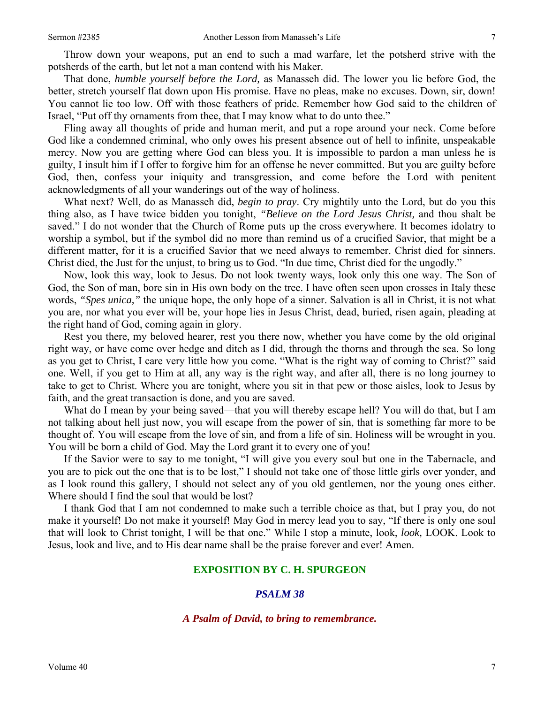Throw down your weapons, put an end to such a mad warfare, let the potsherd strive with the potsherds of the earth, but let not a man contend with his Maker.

That done, *humble yourself before the Lord,* as Manasseh did. The lower you lie before God, the better, stretch yourself flat down upon His promise. Have no pleas, make no excuses. Down, sir, down! You cannot lie too low. Off with those feathers of pride. Remember how God said to the children of Israel, "Put off thy ornaments from thee, that I may know what to do unto thee."

Fling away all thoughts of pride and human merit, and put a rope around your neck. Come before God like a condemned criminal, who only owes his present absence out of hell to infinite, unspeakable mercy. Now you are getting where God can bless you. It is impossible to pardon a man unless he is guilty, I insult him if I offer to forgive him for an offense he never committed. But you are guilty before God, then, confess your iniquity and transgression, and come before the Lord with penitent acknowledgments of all your wanderings out of the way of holiness.

What next? Well, do as Manasseh did, *begin to pray*. Cry mightily unto the Lord, but do you this thing also, as I have twice bidden you tonight, *"Believe on the Lord Jesus Christ,* and thou shalt be saved." I do not wonder that the Church of Rome puts up the cross everywhere. It becomes idolatry to worship a symbol, but if the symbol did no more than remind us of a crucified Savior, that might be a different matter, for it is a crucified Savior that we need always to remember. Christ died for sinners. Christ died, the Just for the unjust, to bring us to God. "In due time, Christ died for the ungodly."

Now, look this way, look to Jesus. Do not look twenty ways, look only this one way. The Son of God, the Son of man, bore sin in His own body on the tree. I have often seen upon crosses in Italy these words, *"Spes unica,"* the unique hope, the only hope of a sinner. Salvation is all in Christ, it is not what you are, nor what you ever will be, your hope lies in Jesus Christ, dead, buried, risen again, pleading at the right hand of God, coming again in glory.

Rest you there, my beloved hearer, rest you there now, whether you have come by the old original right way, or have come over hedge and ditch as I did, through the thorns and through the sea. So long as you get to Christ, I care very little how you come. "What is the right way of coming to Christ?" said one. Well, if you get to Him at all, any way is the right way, and after all, there is no long journey to take to get to Christ. Where you are tonight, where you sit in that pew or those aisles, look to Jesus by faith, and the great transaction is done, and you are saved.

What do I mean by your being saved—that you will thereby escape hell? You will do that, but I am not talking about hell just now, you will escape from the power of sin, that is something far more to be thought of. You will escape from the love of sin, and from a life of sin. Holiness will be wrought in you. You will be born a child of God. May the Lord grant it to every one of you!

If the Savior were to say to me tonight, "I will give you every soul but one in the Tabernacle, and you are to pick out the one that is to be lost," I should not take one of those little girls over yonder, and as I look round this gallery, I should not select any of you old gentlemen, nor the young ones either. Where should I find the soul that would be lost?

I thank God that I am not condemned to make such a terrible choice as that, but I pray you, do not make it yourself! Do not make it yourself! May God in mercy lead you to say, "If there is only one soul that will look to Christ tonight, I will be that one." While I stop a minute, look, *look,* LOOK. Look to Jesus, look and live, and to His dear name shall be the praise forever and ever! Amen.

### **EXPOSITION BY C. H. SPURGEON**

### *PSALM 38*

### *A Psalm of David, to bring to remembrance.*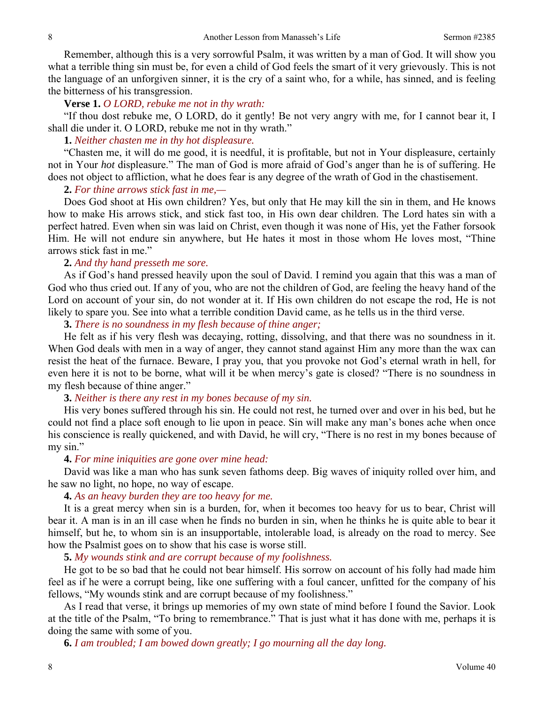Remember, although this is a very sorrowful Psalm, it was written by a man of God. It will show you what a terrible thing sin must be, for even a child of God feels the smart of it very grievously. This is not the language of an unforgiven sinner, it is the cry of a saint who, for a while, has sinned, and is feeling the bitterness of his transgression.

### **Verse 1.** *O LORD, rebuke me not in thy wrath:*

"If thou dost rebuke me, O LORD, do it gently! Be not very angry with me, for I cannot bear it, I shall die under it. O LORD, rebuke me not in thy wrath."

### **1.** *Neither chasten me in thy hot displeasure.*

"Chasten me, it will do me good, it is needful, it is profitable, but not in Your displeasure, certainly not in Your *hot* displeasure." The man of God is more afraid of God's anger than he is of suffering. He does not object to affliction, what he does fear is any degree of the wrath of God in the chastisement.

#### **2.** *For thine arrows stick fast in me,—*

Does God shoot at His own children? Yes, but only that He may kill the sin in them, and He knows how to make His arrows stick, and stick fast too, in His own dear children. The Lord hates sin with a perfect hatred. Even when sin was laid on Christ, even though it was none of His, yet the Father forsook Him. He will not endure sin anywhere, but He hates it most in those whom He loves most, "Thine arrows stick fast in me."

### **2.** *And thy hand presseth me sore.*

As if God's hand pressed heavily upon the soul of David. I remind you again that this was a man of God who thus cried out. If any of you, who are not the children of God, are feeling the heavy hand of the Lord on account of your sin, do not wonder at it. If His own children do not escape the rod, He is not likely to spare you. See into what a terrible condition David came, as he tells us in the third verse.

### **3.** *There is no soundness in my flesh because of thine anger;*

He felt as if his very flesh was decaying, rotting, dissolving, and that there was no soundness in it. When God deals with men in a way of anger, they cannot stand against Him any more than the wax can resist the heat of the furnace. Beware, I pray you, that you provoke not God's eternal wrath in hell, for even here it is not to be borne, what will it be when mercy's gate is closed? "There is no soundness in my flesh because of thine anger."

### **3.** *Neither is there any rest in my bones because of my sin.*

His very bones suffered through his sin. He could not rest, he turned over and over in his bed, but he could not find a place soft enough to lie upon in peace. Sin will make any man's bones ache when once his conscience is really quickened, and with David, he will cry, "There is no rest in my bones because of my sin."

#### **4.** *For mine iniquities are gone over mine head:*

David was like a man who has sunk seven fathoms deep. Big waves of iniquity rolled over him, and he saw no light, no hope, no way of escape.

### **4.** *As an heavy burden they are too heavy for me.*

It is a great mercy when sin is a burden, for, when it becomes too heavy for us to bear, Christ will bear it. A man is in an ill case when he finds no burden in sin, when he thinks he is quite able to bear it himself, but he, to whom sin is an insupportable, intolerable load, is already on the road to mercy. See how the Psalmist goes on to show that his case is worse still.

### **5.** *My wounds stink and are corrupt because of my foolishness.*

He got to be so bad that he could not bear himself. His sorrow on account of his folly had made him feel as if he were a corrupt being, like one suffering with a foul cancer, unfitted for the company of his fellows, "My wounds stink and are corrupt because of my foolishness."

As I read that verse, it brings up memories of my own state of mind before I found the Savior. Look at the title of the Psalm, "To bring to remembrance." That is just what it has done with me, perhaps it is doing the same with some of you.

**6.** *I am troubled; I am bowed down greatly; I go mourning all the day long.*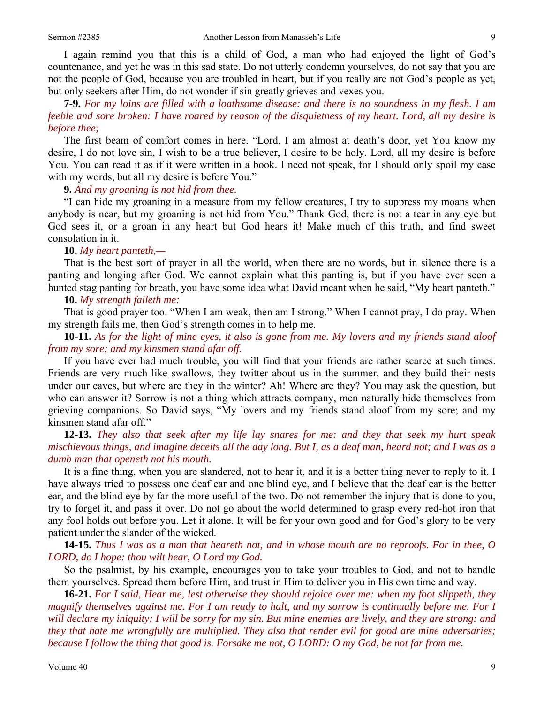I again remind you that this is a child of God, a man who had enjoyed the light of God's countenance, and yet he was in this sad state. Do not utterly condemn yourselves, do not say that you are not the people of God, because you are troubled in heart, but if you really are not God's people as yet, but only seekers after Him, do not wonder if sin greatly grieves and vexes you.

**7-9.** *For my loins are filled with a loathsome disease: and there is no soundness in my flesh. I am feeble and sore broken: I have roared by reason of the disquietness of my heart. Lord, all my desire is before thee;* 

The first beam of comfort comes in here. "Lord, I am almost at death's door, yet You know my desire, I do not love sin, I wish to be a true believer, I desire to be holy. Lord, all my desire is before You. You can read it as if it were written in a book. I need not speak, for I should only spoil my case with my words, but all my desire is before You."

**9.** *And my groaning is not hid from thee.* 

"I can hide my groaning in a measure from my fellow creatures, I try to suppress my moans when anybody is near, but my groaning is not hid from You." Thank God, there is not a tear in any eye but God sees it, or a groan in any heart but God hears it! Make much of this truth, and find sweet consolation in it.

#### **10.** *My heart panteth,—*

That is the best sort of prayer in all the world, when there are no words, but in silence there is a panting and longing after God. We cannot explain what this panting is, but if you have ever seen a hunted stag panting for breath, you have some idea what David meant when he said, "My heart panteth."

### **10.** *My strength faileth me:*

That is good prayer too. "When I am weak, then am I strong." When I cannot pray, I do pray. When my strength fails me, then God's strength comes in to help me.

**10-11.** *As for the light of mine eyes, it also is gone from me. My lovers and my friends stand aloof from my sore; and my kinsmen stand afar off.* 

If you have ever had much trouble, you will find that your friends are rather scarce at such times. Friends are very much like swallows, they twitter about us in the summer, and they build their nests under our eaves, but where are they in the winter? Ah! Where are they? You may ask the question, but who can answer it? Sorrow is not a thing which attracts company, men naturally hide themselves from grieving companions. So David says, "My lovers and my friends stand aloof from my sore; and my kinsmen stand afar off."

## **12-13.** *They also that seek after my life lay snares for me: and they that seek my hurt speak mischievous things, and imagine deceits all the day long. But I, as a deaf man, heard not; and I was as a dumb man that openeth not his mouth.*

It is a fine thing, when you are slandered, not to hear it, and it is a better thing never to reply to it. I have always tried to possess one deaf ear and one blind eye, and I believe that the deaf ear is the better ear, and the blind eye by far the more useful of the two. Do not remember the injury that is done to you, try to forget it, and pass it over. Do not go about the world determined to grasp every red-hot iron that any fool holds out before you. Let it alone. It will be for your own good and for God's glory to be very patient under the slander of the wicked.

**14-15.** *Thus I was as a man that heareth not, and in whose mouth are no reproofs. For in thee, O LORD, do I hope: thou wilt hear, O Lord my God.* 

So the psalmist, by his example, encourages you to take your troubles to God, and not to handle them yourselves. Spread them before Him, and trust in Him to deliver you in His own time and way.

**16-21.** *For I said, Hear me, lest otherwise they should rejoice over me: when my foot slippeth, they magnify themselves against me. For I am ready to halt, and my sorrow is continually before me. For I will declare my iniquity; I will be sorry for my sin. But mine enemies are lively, and they are strong: and they that hate me wrongfully are multiplied. They also that render evil for good are mine adversaries; because I follow the thing that good is. Forsake me not, O LORD: O my God, be not far from me.*